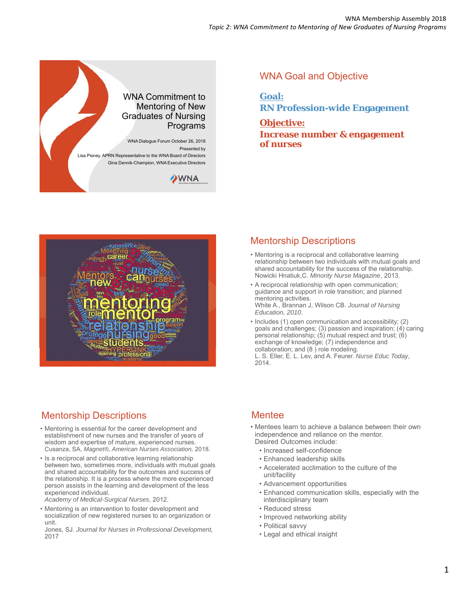

### WNA Goal and Objective

**Goal: RN Profession-wide Engagement**

**Objective: Increase number & engagement of nurses**



## Mentorship Descriptions

- Mentoring is a reciprocal and collaborative learning relationship between two individuals with mutual goals and shared accountability for the success of the relationship. Nowicki Hnatiuk,C. *Minority Nurse Magazine*, 2013.
- A reciprocal relationship with open communication; guidance and support in role transition; and planned mentoring activities. White A., Brannan J, Wilson CB. *Journal of Nursing Education, 2010*.
- Includes (1) open communication and accessibility; (2) goals and challenges; (3) passion and inspiration; (4) caring personal relationship;  $(5)$  mutual respect and trust;  $(6)$ exchange of knowledge; (7) independence and collaboration; and (8 ) role modeling.

L. S. Eller, E. L. Lev, and A. Feurer. *Nurse Educ Today*, 2014.

# Mentorship Descriptions

- Mentoring is essential for the career development and establishment of new nurses and the transfer of years of wisdom and expertise of mature, experienced nurses. Cusanza, SA, *Magnet®, American Nurses Association,* 2018.
- Is a reciprocal and collaborative learning relationship between two, sometimes more, individuals with mutual goals and shared accountability for the outcomes and success of the relationship. It is a process where the more experienced person assists in the learning and development of the less experienced individual.

*Academy of Medical-Surgical Nurses*, 2012.

• Mentoring is an intervention to foster development and socialization of new registered nurses to an organization or unit.

Jones, SJ. *Journal for Nurses in Professional Development,*  2017

## **Mentee**

- Mentees learn to achieve a balance between their own independence and reliance on the mentor. Desired Outcomes include:
	- Increased self-confidence
	- Enhanced leadership skills
	- Accelerated acclimation to the culture of the unit/facility
	- Advancement opportunities
	- Enhanced communication skills, especially with the interdisciplinary team
	- Reduced stress
	- Improved networking ability
	- Political savvy
	- Legal and ethical insight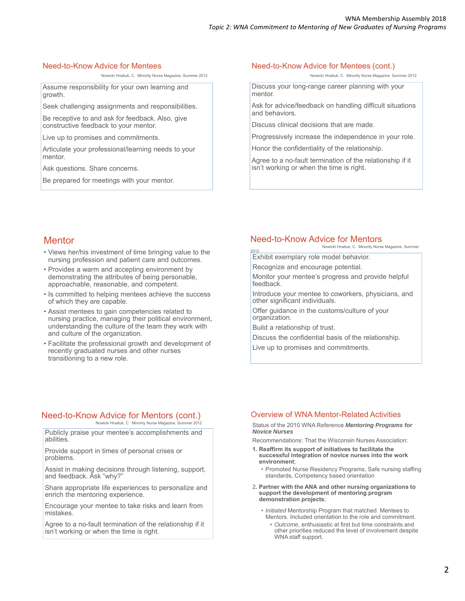### Need-to-Know Advice for Mentees

Nowicki Hnatiuk, C. Minority Nurse Magazine. Summer 2012

Assume responsibility for your own learning and growth.

Seek challenging assignments and responsibilities.

Be receptive to and ask for feedback. Also, give constructive feedback to your mentor.

Live up to promises and commitments.

Articulate your professional/learning needs to your mentor.

Ask questions. Share concerns.

Be prepared for meetings with your mentor.

#### Need-to-Know Advice for Mentees (cont.)

Nowicki Hnatiuk, C. Minority Nurse Magazine. Summer 2012

Discuss your long-range career planning with your mentor.

Ask for advice/feedback on handling difficult situations and behaviors.

Discuss clinical decisions that are made.

Progressively increase the independence in your role.

Honor the confidentiality of the relationship.

Agree to a no-fault termination of the relationship if it isn't working or when the time is right.

### **Mentor**

- Views her/his investment of time bringing value to the nursing profession and patient care and outcomes.
- Provides a warm and accepting environment by demonstrating the attributes of being personable, approachable, reasonable, and competent.
- Is committed to helping mentees achieve the success of which they are capable.
- Assist mentees to gain competencies related to nursing practice, managing their political environment, understanding the culture of the team they work with and culture of the organization.
- Facilitate the professional growth and development of recently graduated nurses and other nurses transitioning to a new role.

### Need-to-Know Advice for Mentors

Nowicki Hnatiuk, C. Minority Nurse Magazine. Summer

Exhibit exemplary role model behavior.

Recognize and encourage potential.

Monitor your mentee's progress and provide helpful feedback.

Introduce your mentee to coworkers, physicians, and other significant individuals.

Offer guidance in the customs/culture of your organization.

Build a relationship of trust.

2012

Discuss the confidential basis of the relationship.

Live up to promises and commitments.

### Need-to-Know Advice for Mentors (cont.)

Nowicki Hnatiuk, C. Minority Nurse Magazine. Summer 2012

Publicly praise your mentee's accomplishments and abilities.

Provide support in times of personal crises or problems.

Assist in making decisions through listening, support, and feedback. Ask "why?"

Share appropriate life experiences to personalize and enrich the mentoring experience.

Encourage your mentee to take risks and learn from mistakes.

Agree to a no-fault termination of the relationship if it isn't working or when the time is right.

### Overview of WNA Mentor-Related Activities

#### Status of the 2010 WNA Reference *Mentoring Programs for Novice Nurses*

Recommendations: That the Wisconsin Nurses Association:

- **1. Reaffirm its support of initiatives to facilitate the successful integration of novice nurses into the work environment**;
	- Promoted Nurse Residency Programs, Safe nursing staffing standards, Competency based orientation
- 2**. Partner with the ANA and other nursing organizations to support the development of mentoring program demonstration projects**;

• *Initiated* Mentorship Program that matched Mentees to Mentors. Included orientation to the role and commitment. • *Outcome*, enthusiastic at first but time constraints and

other priorities reduced the level of involvement despite WNA staff support.